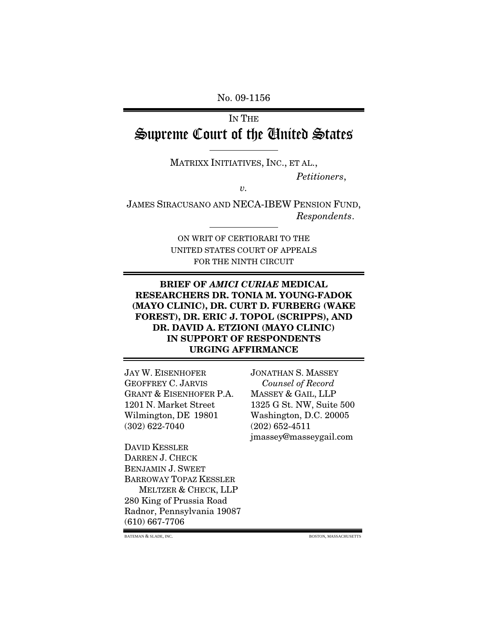No. 09-1156

# IN THE Supreme Court of the United States

MATRIXX INITIATIVES, INC., ET AL.,

*Petitioners*,

*v.* 

JAMES SIRACUSANO AND NECA-IBEW PENSION FUND, *Respondents*.

> ON WRIT OF CERTIORARI TO THE UNITED STATES COURT OF APPEALS FOR THE NINTH CIRCUIT

### **BRIEF OF** *AMICI CURIAE* **MEDICAL RESEARCHERS DR. TONIA M. YOUNG-FADOK (MAYO CLINIC), DR. CURT D. FURBERG (WAKE FOREST), DR. ERIC J. TOPOL (SCRIPPS), AND DR. DAVID A. ETZIONI (MAYO CLINIC) IN SUPPORT OF RESPONDENTS URGING AFFIRMANCE**

JAY W. EISENHOFER JONATHAN S. MASSEY GEOFFREY C. JARVIS *Counsel of Record*  GRANT & EISENHOFER P.A. MASSEY & GAIL, LLP 1201 N. Market Street 1325 G St. NW, Suite 500 Wilmington, DE 19801 Washington, D.C. 20005 (302) 622-7040 (202) 652-4511

DAVID KESSLER DARREN J. CHECK BENJAMIN J. SWEET BARROWAY TOPAZ KESSLER MELTZER & CHECK, LLP 280 King of Prussia Road Radnor, Pennsylvania 19087 (610) 667-7706

jmassey@masseygail.com

BATEMAN & SLADE, INC. BOSTON, MASSACHUSETTS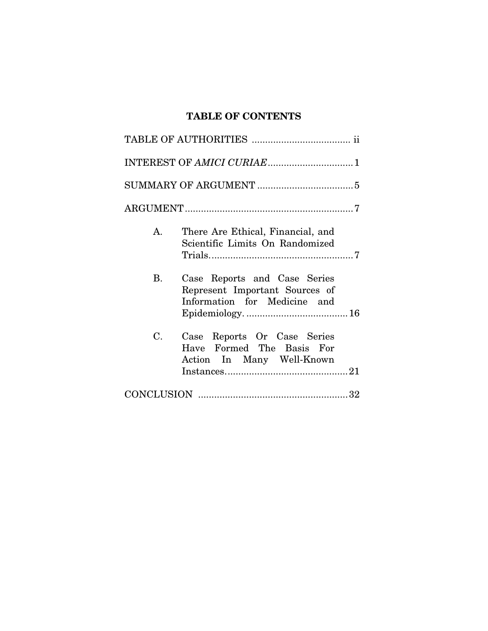## **TABLE OF CONTENTS**

| There Are Ethical, Financial, and<br>$A_{\cdot}$<br>Scientific Limits On Randomized                         |
|-------------------------------------------------------------------------------------------------------------|
| <b>B.</b><br>Case Reports and Case Series<br>Represent Important Sources of<br>Information for Medicine and |
| C.<br>Case Reports Or Case Series<br>Have Formed The Basis For<br>Action In Many Well-Known                 |
|                                                                                                             |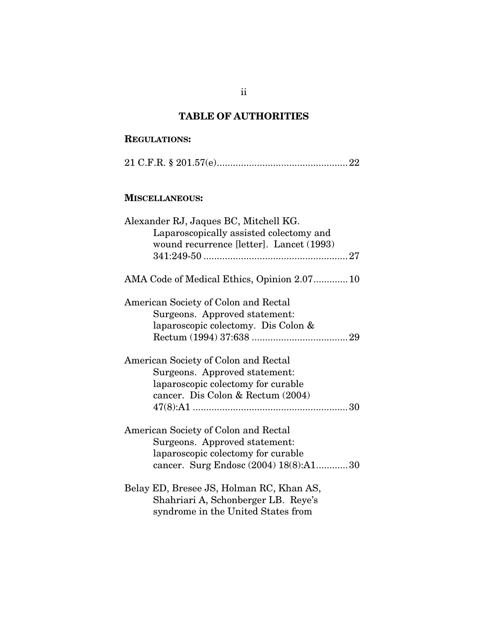## **TABLE OF AUTHORITIES**

## **REGULATIONS:**

|--|--|--|--|

## **MISCELLANEOUS:**

| Alexander RJ, Jaques BC, Mitchell KG.       |
|---------------------------------------------|
| Laparoscopically assisted colectomy and     |
| wound recurrence [letter]. Lancet (1993)    |
|                                             |
| AMA Code of Medical Ethics, Opinion 2.07 10 |
| American Society of Colon and Rectal        |
| Surgeons. Approved statement:               |
| laparoscopic colectomy. Dis Colon &         |
|                                             |
| American Society of Colon and Rectal        |
| Surgeons. Approved statement:               |
| laparoscopic colectomy for curable          |
| cancer. Dis Colon & Rectum (2004)           |
|                                             |
| American Society of Colon and Rectal        |
| Surgeons. Approved statement:               |
| laparoscopic colectomy for curable          |
| cancer. Surg Endosc (2004) 18(8):A130       |
| Belay ED, Bresee JS, Holman RC, Khan AS,    |
| Shahriari A, Schonberger LB. Reye's         |
| syndrome in the United States from          |

ii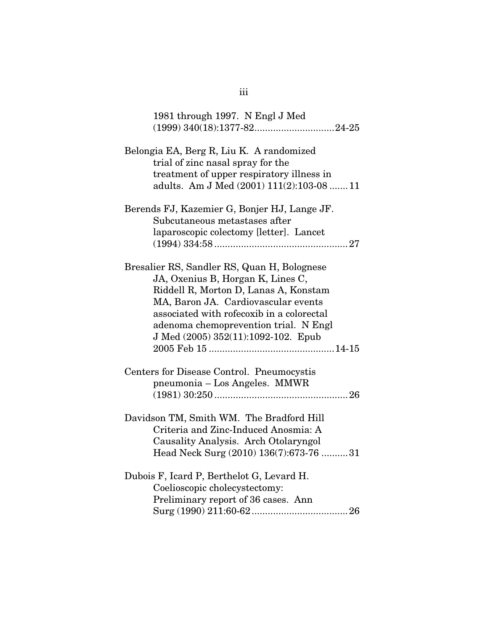| 1981 through 1997. N Engl J Med                                                                                                                                                                                                                                                               |
|-----------------------------------------------------------------------------------------------------------------------------------------------------------------------------------------------------------------------------------------------------------------------------------------------|
|                                                                                                                                                                                                                                                                                               |
| Belongia EA, Berg R, Liu K. A randomized<br>trial of zinc nasal spray for the<br>treatment of upper respiratory illness in<br>adults. Am J Med (2001) 111(2):103-08  11                                                                                                                       |
| Berends FJ, Kazemier G, Bonjer HJ, Lange JF.<br>Subcutaneous metastases after<br>laparoscopic colectomy [letter]. Lancet                                                                                                                                                                      |
| Bresalier RS, Sandler RS, Quan H, Bolognese<br>JA, Oxenius B, Horgan K, Lines C,<br>Riddell R, Morton D, Lanas A, Konstam<br>MA, Baron JA. Cardiovascular events<br>associated with rofecoxib in a colorectal<br>adenoma chemoprevention trial. N Engl<br>J Med (2005) 352(11):1092-102. Epub |
| Centers for Disease Control. Pneumocystis<br>pneumonia – Los Angeles. MMWR                                                                                                                                                                                                                    |
| Davidson TM, Smith WM. The Bradford Hill<br>Criteria and Zinc-Induced Anosmia: A<br>Causality Analysis. Arch Otolaryngol<br>Head Neck Surg (2010) 136(7):673-76 31                                                                                                                            |
| Dubois F, Icard P, Berthelot G, Levard H.<br>Coelioscopic cholecystectomy:<br>Preliminary report of 36 cases. Ann                                                                                                                                                                             |

iii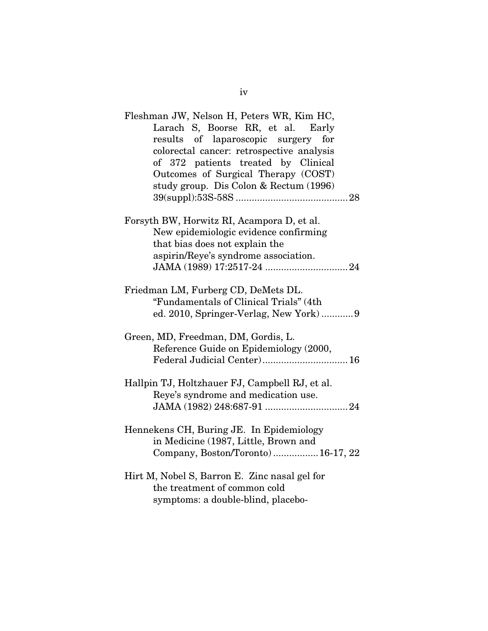| Fleshman JW, Nelson H, Peters WR, Kim HC,<br>Larach S, Boorse RR, et al. Early<br>results of laparoscopic surgery for<br>colorectal cancer: retrospective analysis<br>of 372 patients treated by Clinical<br>Outcomes of Surgical Therapy (COST)<br>study group. Dis Colon & Rectum (1996) |
|--------------------------------------------------------------------------------------------------------------------------------------------------------------------------------------------------------------------------------------------------------------------------------------------|
| Forsyth BW, Horwitz RI, Acampora D, et al.<br>New epidemiologic evidence confirming<br>that bias does not explain the<br>aspirin/Reye's syndrome association.                                                                                                                              |
| Friedman LM, Furberg CD, DeMets DL.<br>"Fundamentals of Clinical Trials" (4th                                                                                                                                                                                                              |
| Green, MD, Freedman, DM, Gordis, L.<br>Reference Guide on Epidemiology (2000,<br>Federal Judicial Center) 16                                                                                                                                                                               |
| Hallpin TJ, Holtzhauer FJ, Campbell RJ, et al.<br>Reye's syndrome and medication use.                                                                                                                                                                                                      |
| Hennekens CH, Buring JE. In Epidemiology<br>in Medicine (1987, Little, Brown and<br>Company, Boston/Toronto)16-17, 22                                                                                                                                                                      |
| Hirt M, Nobel S, Barron E. Zinc nasal gel for<br>the treatment of common cold<br>symptoms: a double-blind, placebo-                                                                                                                                                                        |

iv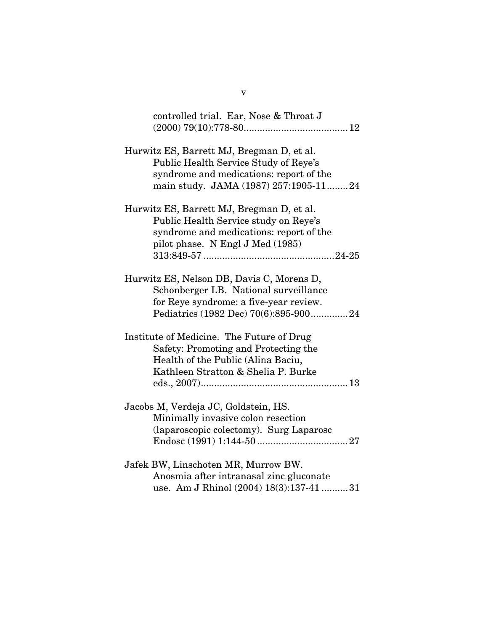| controlled trial. Ear, Nose & Throat J                                                                                                                                 |
|------------------------------------------------------------------------------------------------------------------------------------------------------------------------|
| Hurwitz ES, Barrett MJ, Bregman D, et al.<br>Public Health Service Study of Reye's<br>syndrome and medications: report of the<br>main study. JAMA (1987) 257:1905-1124 |
| Hurwitz ES, Barrett MJ, Bregman D, et al.<br>Public Health Service study on Reye's<br>syndrome and medications: report of the<br>pilot phase. N Engl J Med (1985)      |
| Hurwitz ES, Nelson DB, Davis C, Morens D,<br>Schonberger LB. National surveillance<br>for Reye syndrome: a five-year review.<br>Pediatrics (1982 Dec) 70(6):895-90024  |
| Institute of Medicine. The Future of Drug<br>Safety: Promoting and Protecting the<br>Health of the Public (Alina Baciu,<br>Kathleen Stratton & Shelia P. Burke         |
| Jacobs M, Verdeja JC, Goldstein, HS.<br>Minimally invasive colon resection<br>(laparoscopic colectomy). Surg Laparosc                                                  |
| Jafek BW, Linschoten MR, Murrow BW.<br>Anosmia after intranasal zinc gluconate<br>use. Am J Rhinol (2004) 18(3):137-41  31                                             |

v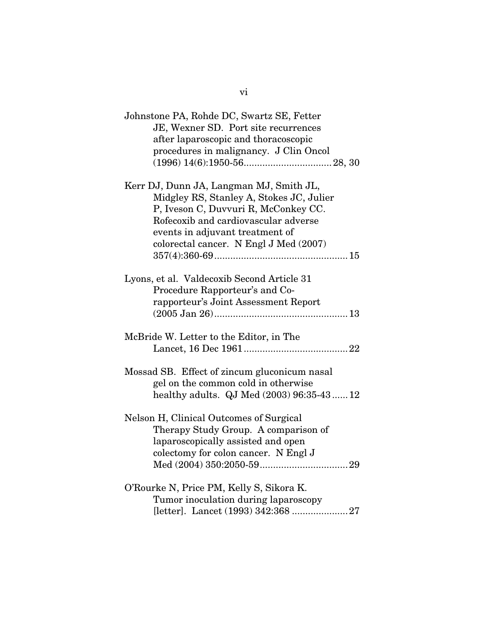| Johnstone PA, Rohde DC, Swartz SE, Fetter<br>JE, Wexner SD. Port site recurrences<br>after laparoscopic and thoracoscopic<br>procedures in malignancy. J Clin Oncol                                                                              |
|--------------------------------------------------------------------------------------------------------------------------------------------------------------------------------------------------------------------------------------------------|
| Kerr DJ, Dunn JA, Langman MJ, Smith JL,<br>Midgley RS, Stanley A, Stokes JC, Julier<br>P, Iveson C, Duvvuri R, McConkey CC.<br>Rofecoxib and cardiovascular adverse<br>events in adjuvant treatment of<br>colorectal cancer. N Engl J Med (2007) |
| Lyons, et al. Valdecoxib Second Article 31<br>Procedure Rapporteur's and Co-<br>rapporteur's Joint Assessment Report                                                                                                                             |
| McBride W. Letter to the Editor, in The                                                                                                                                                                                                          |
| Mossad SB. Effect of zincum gluconicum nasal<br>gel on the common cold in otherwise<br>healthy adults. QJ Med (2003) 96:35-43  12                                                                                                                |
| Nelson H, Clinical Outcomes of Surgical<br>Therapy Study Group. A comparison of<br>laparoscopically assisted and open<br>colectomy for colon cancer. N Engl J                                                                                    |
| O'Rourke N, Price PM, Kelly S, Sikora K.<br>Tumor inoculation during laparoscopy                                                                                                                                                                 |

vi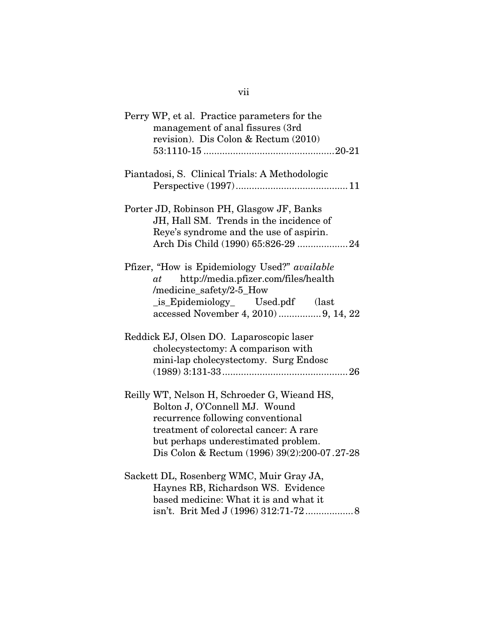| Perry WP, et al. Practice parameters for the<br>management of anal fissures (3rd<br>revision). Dis Colon & Rectum (2010)                                                                                                                            |
|-----------------------------------------------------------------------------------------------------------------------------------------------------------------------------------------------------------------------------------------------------|
| Piantadosi, S. Clinical Trials: A Methodologic                                                                                                                                                                                                      |
| Porter JD, Robinson PH, Glasgow JF, Banks<br>JH, Hall SM. Trends in the incidence of<br>Reye's syndrome and the use of aspirin.<br>Arch Dis Child (1990) 65:826-29  24                                                                              |
| Pfizer, "How is Epidemiology Used?" available<br>$at$ http://media.pfizer.com/files/health<br>/medicine_safety/2-5_How<br>_is_Epidemiology_ Used.pdf (last<br>accessed November 4, 2010)  9, 14, 22                                                 |
| Reddick EJ, Olsen DO. Laparoscopic laser<br>cholecystectomy: A comparison with<br>mini-lap cholecystectomy. Surg Endosc                                                                                                                             |
| Reilly WT, Nelson H, Schroeder G, Wieand HS,<br>Bolton J, O'Connell MJ. Wound<br>recurrence following conventional<br>treatment of colorectal cancer: A rare<br>but perhaps underestimated problem.<br>Dis Colon & Rectum (1996) 39(2):200-07.27-28 |
| Sackett DL, Rosenberg WMC, Muir Gray JA,<br>Haynes RB, Richardson WS. Evidence<br>based medicine: What it is and what it<br>isn't. Brit Med J (1996) 312:71-72 8                                                                                    |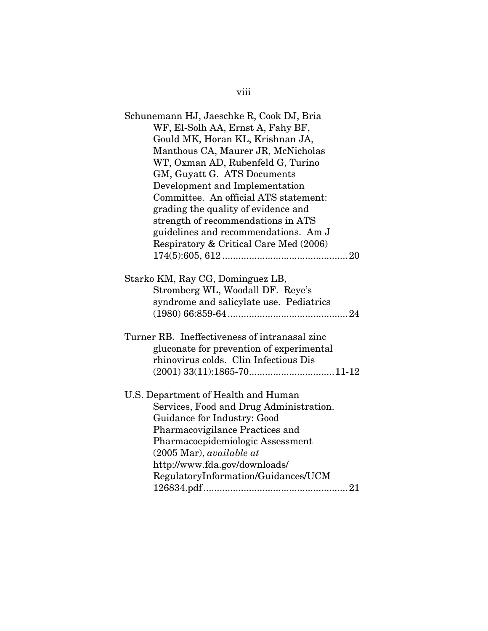| Schunemann HJ, Jaeschke R, Cook DJ, Bria<br>WF, El-Solh AA, Ernst A, Fahy BF,<br>Gould MK, Horan KL, Krishnan JA,<br>Manthous CA, Maurer JR, McNicholas<br>WT, Oxman AD, Rubenfeld G, Turino<br>GM, Guyatt G. ATS Documents<br>Development and Implementation<br>Committee. An official ATS statement: |
|--------------------------------------------------------------------------------------------------------------------------------------------------------------------------------------------------------------------------------------------------------------------------------------------------------|
| grading the quality of evidence and                                                                                                                                                                                                                                                                    |
| strength of recommendations in ATS                                                                                                                                                                                                                                                                     |
| guidelines and recommendations. Am J<br>Respiratory & Critical Care Med (2006)                                                                                                                                                                                                                         |
|                                                                                                                                                                                                                                                                                                        |
| Starko KM, Ray CG, Dominguez LB,                                                                                                                                                                                                                                                                       |
| Stromberg WL, Woodall DF. Reye's                                                                                                                                                                                                                                                                       |
| syndrome and salicylate use. Pediatrics                                                                                                                                                                                                                                                                |
|                                                                                                                                                                                                                                                                                                        |
| Turner RB. Ineffectiveness of intranasal zinc                                                                                                                                                                                                                                                          |
| gluconate for prevention of experimental                                                                                                                                                                                                                                                               |
| rhinovirus colds. Clin Infectious Dis                                                                                                                                                                                                                                                                  |
|                                                                                                                                                                                                                                                                                                        |
| U.S. Department of Health and Human                                                                                                                                                                                                                                                                    |
| Services, Food and Drug Administration.                                                                                                                                                                                                                                                                |
| Guidance for Industry: Good                                                                                                                                                                                                                                                                            |
| Pharmacovigilance Practices and                                                                                                                                                                                                                                                                        |
| Pharmacoepidemiologic Assessment                                                                                                                                                                                                                                                                       |
| $(2005 \text{ Mar})$ , available at                                                                                                                                                                                                                                                                    |
| http://www.fda.gov/downloads/                                                                                                                                                                                                                                                                          |
| RegulatoryInformation/Guidances/UCM                                                                                                                                                                                                                                                                    |
|                                                                                                                                                                                                                                                                                                        |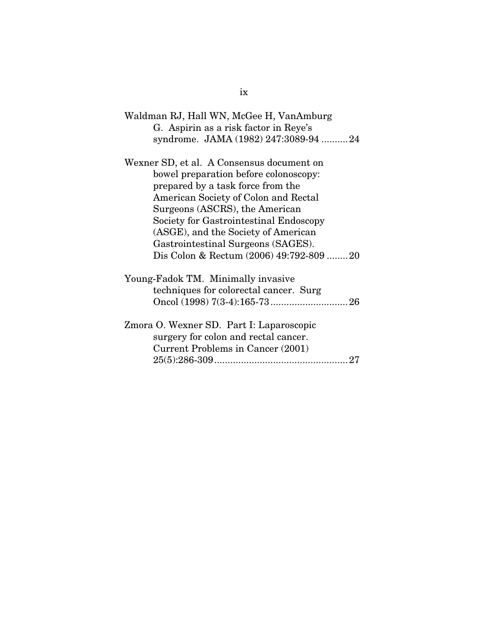| Waldman RJ, Hall WN, McGee H, VanAmburg<br>G. Aspirin as a risk factor in Reye's                                                                                                                                                                                                                                         |
|--------------------------------------------------------------------------------------------------------------------------------------------------------------------------------------------------------------------------------------------------------------------------------------------------------------------------|
| syndrome. JAMA (1982) 247:3089-94  24                                                                                                                                                                                                                                                                                    |
| Wexner SD, et al. A Consensus document on<br>bowel preparation before colonoscopy:<br>prepared by a task force from the<br>American Society of Colon and Rectal<br>Surgeons (ASCRS), the American<br>Society for Gastrointestinal Endoscopy<br>(ASGE), and the Society of American<br>Gastrointestinal Surgeons (SAGES). |
| Dis Colon & Rectum (2006) 49:792-809 20                                                                                                                                                                                                                                                                                  |
| Young-Fadok TM. Minimally invasive<br>techniques for colorectal cancer. Surg                                                                                                                                                                                                                                             |
| Zmora O. Wexner SD. Part I: Laparoscopic<br>surgery for colon and rectal cancer.<br>Current Problems in Cancer (2001)                                                                                                                                                                                                    |

ix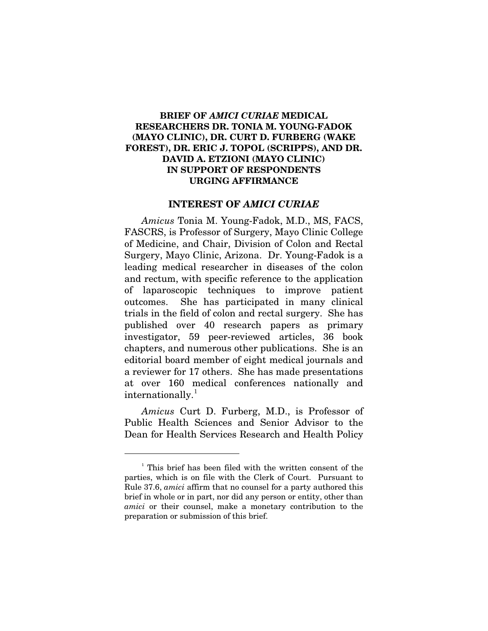### **BRIEF OF** *AMICI CURIAE* **MEDICAL RESEARCHERS DR. TONIA M. YOUNG-FADOK (MAYO CLINIC), DR. CURT D. FURBERG (WAKE FOREST), DR. ERIC J. TOPOL (SCRIPPS), AND DR. DAVID A. ETZIONI (MAYO CLINIC) IN SUPPORT OF RESPONDENTS URGING AFFIRMANCE**

#### **INTEREST OF** *AMICI CURIAE*

*Amicus* Tonia M. Young-Fadok, M.D., MS, FACS, FASCRS, is Professor of Surgery, Mayo Clinic College of Medicine, and Chair, Division of Colon and Rectal Surgery, Mayo Clinic, Arizona. Dr. Young-Fadok is a leading medical researcher in diseases of the colon and rectum, with specific reference to the application of laparoscopic techniques to improve patient outcomes. She has participated in many clinical trials in the field of colon and rectal surgery. She has published over 40 research papers as primary investigator, 59 peer-reviewed articles, 36 book chapters, and numerous other publications. She is an editorial board member of eight medical journals and a reviewer for 17 others. She has made presentations at over 160 medical conferences nationally and  $\text{intermationally.}^1$  $\text{intermationally.}^1$ 

*Amicus* Curt D. Furberg, M.D., is Professor of Public Health Sciences and Senior Advisor to the Dean for Health Services Research and Health Policy

<span id="page-10-0"></span><sup>1</sup> This brief has been filed with the written consent of the parties, which is on file with the Clerk of Court. Pursuant to Rule 37.6, *amici* affirm that no counsel for a party authored this brief in whole or in part, nor did any person or entity, other than *amici* or their counsel, make a monetary contribution to the preparation or submission of this brief.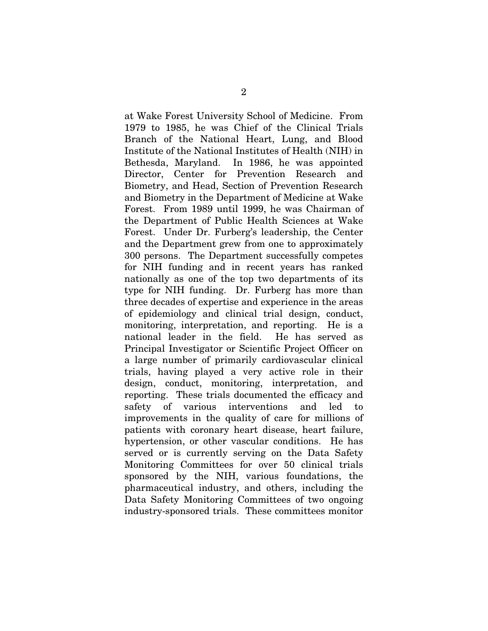at Wake Forest University School of Medicine. From 1979 to 1985, he was Chief of the Clinical Trials Branch of the National Heart, Lung, and Blood Institute of the National Institutes of Health (NIH) in Bethesda, Maryland. In 1986, he was appointed Director, Center for Prevention Research and Biometry, and Head, Section of Prevention Research and Biometry in the Department of Medicine at Wake Forest. From 1989 until 1999, he was Chairman of the Department of Public Health Sciences at Wake Forest. Under Dr. Furberg's leadership, the Center and the Department grew from one to approximately 300 persons. The Department successfully competes for NIH funding and in recent years has ranked nationally as one of the top two departments of its type for NIH funding. Dr. Furberg has more than three decades of expertise and experience in the areas of epidemiology and clinical trial design, conduct, monitoring, interpretation, and reporting. He is a national leader in the field. He has served as Principal Investigator or Scientific Project Officer on a large number of primarily cardiovascular clinical trials, having played a very active role in their design, conduct, monitoring, interpretation, and reporting. These trials documented the efficacy and safety of various interventions and led to improvements in the quality of care for millions of patients with coronary heart disease, heart failure, hypertension, or other vascular conditions. He has served or is currently serving on the Data Safety Monitoring Committees for over 50 clinical trials sponsored by the NIH, various foundations, the pharmaceutical industry, and others, including the Data Safety Monitoring Committees of two ongoing industry-sponsored trials. These committees monitor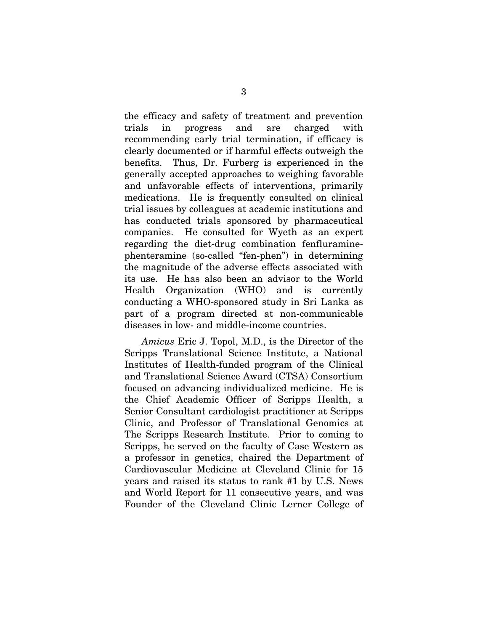the efficacy and safety of treatment and prevention trials in progress and are charged with recommending early trial termination, if efficacy is clearly documented or if harmful effects outweigh the benefits. Thus, Dr. Furberg is experienced in the generally accepted approaches to weighing favorable and unfavorable effects of interventions, primarily medications. He is frequently consulted on clinical trial issues by colleagues at academic institutions and has conducted trials sponsored by pharmaceutical companies. He consulted for Wyeth as an expert regarding the diet-drug combination fenfluraminephenteramine (so-called "fen-phen") in determining the magnitude of the adverse effects associated with its use. He has also been an advisor to the World Health Organization (WHO) and is currently conducting a WHO-sponsored study in Sri Lanka as part of a program directed at non-communicable diseases in low- and middle-income countries.

*Amicus* Eric J. Topol, M.D., is the Director of the Scripps Translational Science Institute, a National Institutes of Health-funded program of the Clinical and Translational Science Award (CTSA) Consortium focused on advancing individualized medicine. He is the Chief Academic Officer of Scripps Health, a Senior Consultant cardiologist practitioner at Scripps Clinic, and Professor of Translational Genomics at The Scripps Research Institute. Prior to coming to Scripps, he served on the faculty of Case Western as a professor in genetics, chaired the Department of Cardiovascular Medicine at Cleveland Clinic for 15 years and raised its status to rank #1 by U.S. News and World Report for 11 consecutive years, and was Founder of the Cleveland Clinic Lerner College of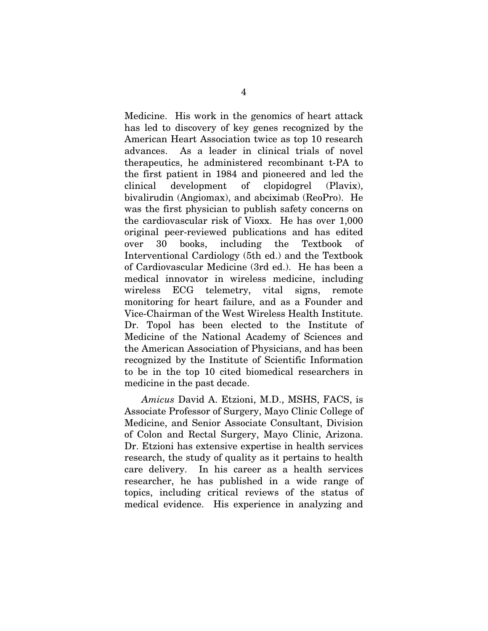Medicine. His work in the genomics of heart attack has led to discovery of key genes recognized by the American Heart Association twice as top 10 research advances. As a leader in clinical trials of novel therapeutics, he administered recombinant t-PA to the first patient in 1984 and pioneered and led the clinical development of clopidogrel (Plavix), bivalirudin (Angiomax), and abciximab (ReoPro). He was the first physician to publish safety concerns on the cardiovascular risk of Vioxx. He has over 1,000 original peer-reviewed publications and has edited over 30 books, including the Textbook of Interventional Cardiology (5th ed.) and the Textbook of Cardiovascular Medicine (3rd ed.). He has been a medical innovator in wireless medicine, including wireless ECG telemetry, vital signs, remote monitoring for heart failure, and as a Founder and Vice-Chairman of the West Wireless Health Institute. Dr. Topol has been elected to the Institute of Medicine of the National Academy of Sciences and the American Association of Physicians, and has been recognized by the Institute of Scientific Information to be in the top 10 cited biomedical researchers in medicine in the past decade.

*Amicus* David A. Etzioni, M.D., MSHS, FACS, is Associate Professor of Surgery, Mayo Clinic College of Medicine, and Senior Associate Consultant, Division of Colon and Rectal Surgery, Mayo Clinic, Arizona. Dr. Etzioni has extensive expertise in health services research, the study of quality as it pertains to health care delivery. In his career as a health services researcher, he has published in a wide range of topics, including critical reviews of the status of medical evidence. His experience in analyzing and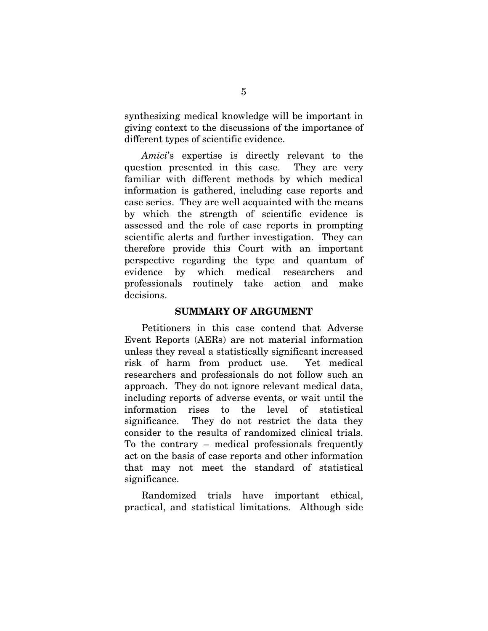synthesizing medical knowledge will be important in giving context to the discussions of the importance of different types of scientific evidence.

*Amici*'s expertise is directly relevant to the question presented in this case. They are very familiar with different methods by which medical information is gathered, including case reports and case series. They are well acquainted with the means by which the strength of scientific evidence is assessed and the role of case reports in prompting scientific alerts and further investigation. They can therefore provide this Court with an important perspective regarding the type and quantum of evidence by which medical researchers and professionals routinely take action and make decisions.

#### **SUMMARY OF ARGUMENT**

Petitioners in this case contend that Adverse Event Reports (AERs) are not material information unless they reveal a statistically significant increased risk of harm from product use. Yet medical researchers and professionals do not follow such an approach. They do not ignore relevant medical data, including reports of adverse events, or wait until the information rises to the level of statistical significance. They do not restrict the data they consider to the results of randomized clinical trials. To the contrary – medical professionals frequently act on the basis of case reports and other information that may not meet the standard of statistical significance.

 Randomized trials have important ethical, practical, and statistical limitations. Although side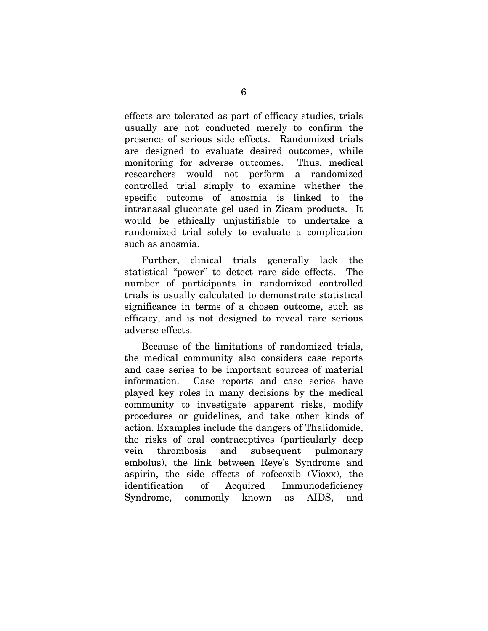effects are tolerated as part of efficacy studies, trials usually are not conducted merely to confirm the presence of serious side effects. Randomized trials are designed to evaluate desired outcomes, while monitoring for adverse outcomes. Thus, medical researchers would not perform a randomized controlled trial simply to examine whether the specific outcome of anosmia is linked to the intranasal gluconate gel used in Zicam products. It would be ethically unjustifiable to undertake a randomized trial solely to evaluate a complication such as anosmia.

 Further, clinical trials generally lack the statistical "power" to detect rare side effects. The number of participants in randomized controlled trials is usually calculated to demonstrate statistical significance in terms of a chosen outcome, such as efficacy, and is not designed to reveal rare serious adverse effects.

 Because of the limitations of randomized trials, the medical community also considers case reports and case series to be important sources of material information. Case reports and case series have played key roles in many decisions by the medical community to investigate apparent risks, modify procedures or guidelines, and take other kinds of action. Examples include the dangers of Thalidomide, the risks of oral contraceptives (particularly deep vein thrombosis and subsequent pulmonary embolus), the link between Reye's Syndrome and aspirin, the side effects of rofecoxib (Vioxx), the identification of Acquired Immunodeficiency Syndrome, commonly known as AIDS, and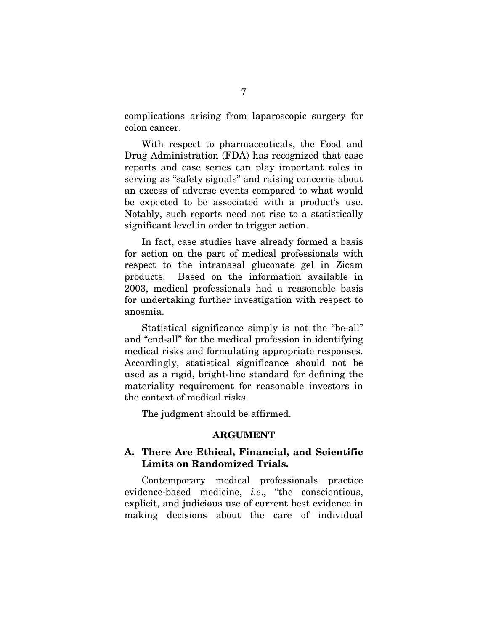complications arising from laparoscopic surgery for colon cancer.

 With respect to pharmaceuticals, the Food and Drug Administration (FDA) has recognized that case reports and case series can play important roles in serving as "safety signals" and raising concerns about an excess of adverse events compared to what would be expected to be associated with a product's use. Notably, such reports need not rise to a statistically significant level in order to trigger action.

 In fact, case studies have already formed a basis for action on the part of medical professionals with respect to the intranasal gluconate gel in Zicam products. Based on the information available in 2003, medical professionals had a reasonable basis for undertaking further investigation with respect to anosmia.

 Statistical significance simply is not the "be-all" and "end-all" for the medical profession in identifying medical risks and formulating appropriate responses. Accordingly, statistical significance should not be used as a rigid, bright-line standard for defining the materiality requirement for reasonable investors in the context of medical risks.

The judgment should be affirmed.

#### **ARGUMENT**

## **A. There Are Ethical, Financial, and Scientific Limits on Randomized Trials.**

Contemporary medical professionals practice evidence-based medicine, *i.e*., "the conscientious, explicit, and judicious use of current best evidence in making decisions about the care of individual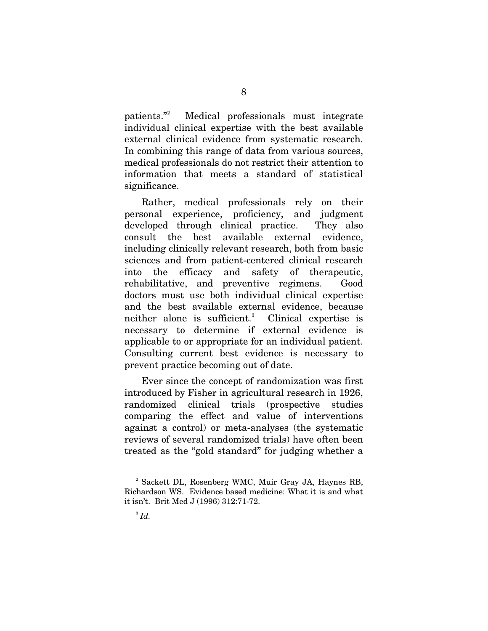patients." Medical professionals must integrate individual clinical expertise with the best available external clinical evidence from systematic research. In combining this range of data from various sources, medical professionals do not restrict their attention to information that meets a standard of statistical significance.

 Rather, medical professionals rely on their personal experience, proficiency, and judgment developed through clinical practice. They also consult the best available external evidence, including clinically relevant research, both from basic sciences and from patient-centered clinical research into the efficacy and safety of therapeutic, rehabilitative, and preventive regimens. Good doctors must use both individual clinical expertise and the best available external evidence, because neither alone is sufficient.<sup>[3](#page-17-1)</sup> Clinical expertise is necessary to determine if external evidence is applicable to or appropriate for an individual patient. Consulting current best evidence is necessary to prevent practice becoming out of date.

 Ever since the concept of randomization was first introduced by Fisher in agricultural research in 1926, randomized clinical trials (prospective studies comparing the effect and value of interventions against a control) or meta-analyses (the systematic reviews of several randomized trials) have often been treated as the "gold standard" for judging whether a

<span id="page-17-1"></span><span id="page-17-0"></span><sup>2</sup> Sackett DL, Rosenberg WMC, Muir Gray JA, Haynes RB, Richardson WS. Evidence based medicine: What it is and what it isn't. Brit Med J (1996) 312:71-72.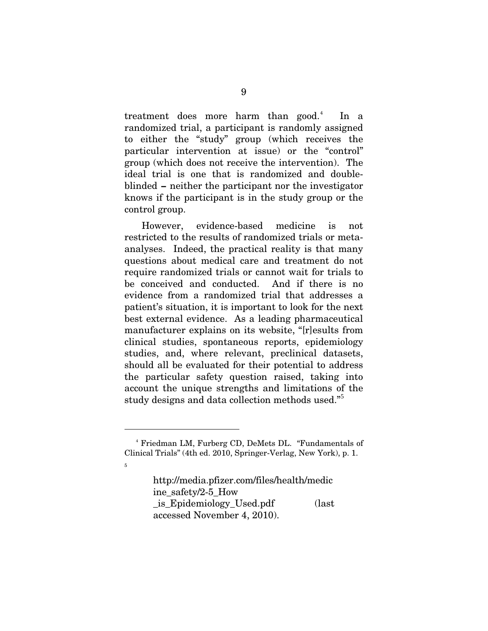treatment does more harm than good.<sup>[4](#page-18-0)</sup> In a randomized trial, a participant is randomly assigned to either the "study" group (which receives the particular intervention at issue) or the "control" group (which does not receive the intervention). The ideal trial is one that is randomized and doubleblinded **–** neither the participant nor the investigator knows if the participant is in the study group or the control group.

 However, evidence-based medicine is not restricted to the results of randomized trials or metaanalyses. Indeed, the practical reality is that many questions about medical care and treatment do not require randomized trials or cannot wait for trials to be conceived and conducted. And if there is no evidence from a randomized trial that addresses a patient's situation, it is important to look for the next best external evidence. As a leading pharmaceutical manufacturer explains on its website, "[r]esults from clinical studies, spontaneous reports, epidemiology studies, and, where relevant, preclinical datasets, should all be evaluated for their potential to address the particular safety question raised, taking into account the unique strengths and limitations of the study designs and data collection methods used."[5](#page-18-1)

 $\overline{a}$ 

<span id="page-18-1"></span>5

http://media.pfizer.com/files/health/medic ine\_safety/2-5\_How \_is\_Epidemiology\_Used.pdf (last accessed November 4, 2010).

<span id="page-18-0"></span><sup>4</sup> Friedman LM, Furberg CD, DeMets DL. "Fundamentals of Clinical Trials" (4th ed. 2010, Springer-Verlag, New York), p. 1.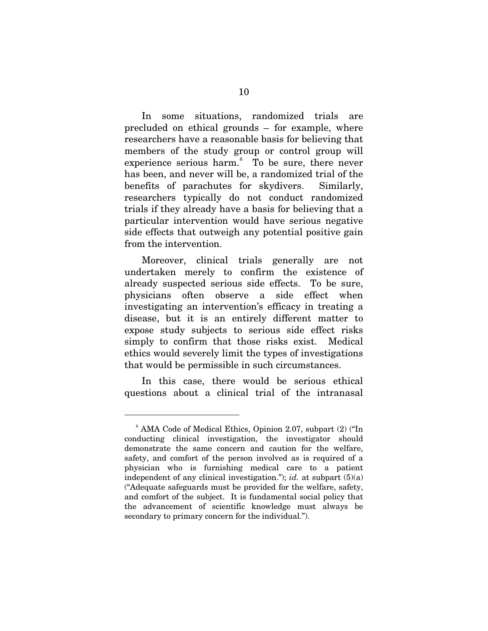In some situations, randomized trials are precluded on ethical grounds – for example, where researchers have a reasonable basis for believing that members of the study group or control group will experience serious harm.<sup>[6](#page-19-0)</sup> To be sure, there never has been, and never will be, a randomized trial of the benefits of parachutes for skydivers. Similarly, researchers typically do not conduct randomized trials if they already have a basis for believing that a particular intervention would have serious negative side effects that outweigh any potential positive gain from the intervention.

 Moreover, clinical trials generally are not undertaken merely to confirm the existence of already suspected serious side effects. To be sure, physicians often observe a side effect when investigating an intervention's efficacy in treating a disease, but it is an entirely different matter to expose study subjects to serious side effect risks simply to confirm that those risks exist. Medical ethics would severely limit the types of investigations that would be permissible in such circumstances.

 In this case, there would be serious ethical questions about a clinical trial of the intranasal

<span id="page-19-0"></span><sup>6</sup> AMA Code of Medical Ethics, Opinion 2.07, subpart (2) ("In conducting clinical investigation, the investigator should demonstrate the same concern and caution for the welfare, safety, and comfort of the person involved as is required of a physician who is furnishing medical care to a patient independent of any clinical investigation."); *id.* at subpart  $(5)(a)$ ("Adequate safeguards must be provided for the welfare, safety, and comfort of the subject. It is fundamental social policy that the advancement of scientific knowledge must always be secondary to primary concern for the individual.").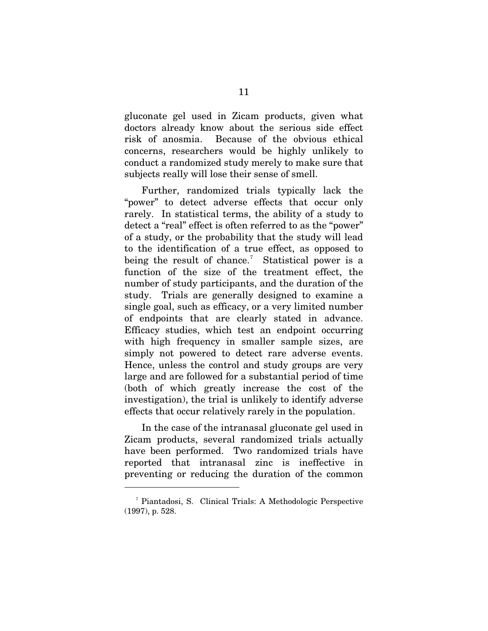gluconate gel used in Zicam products, given what doctors already know about the serious side effect risk of anosmia. Because of the obvious ethical concerns, researchers would be highly unlikely to conduct a randomized study merely to make sure that subjects really will lose their sense of smell.

Further, randomized trials typically lack the "power" to detect adverse effects that occur only rarely. In statistical terms, the ability of a study to detect a "real" effect is often referred to as the "power" of a study, or the probability that the study will lead to the identification of a true effect, as opposed to being the result of chance.<sup>[7](#page-20-0)</sup> Statistical power is a function of the size of the treatment effect, the number of study participants, and the duration of the study. Trials are generally designed to examine a single goal, such as efficacy, or a very limited number of endpoints that are clearly stated in advance. Efficacy studies, which test an endpoint occurring with high frequency in smaller sample sizes, are simply not powered to detect rare adverse events. Hence, unless the control and study groups are very large and are followed for a substantial period of time (both of which greatly increase the cost of the investigation), the trial is unlikely to identify adverse effects that occur relatively rarely in the population.

 In the case of the intranasal gluconate gel used in Zicam products, several randomized trials actually have been performed. Two randomized trials have reported that intranasal zinc is ineffective in preventing or reducing the duration of the common

<span id="page-20-0"></span><sup>7</sup> Piantadosi, S. Clinical Trials: A Methodologic Perspective (1997), p. 528.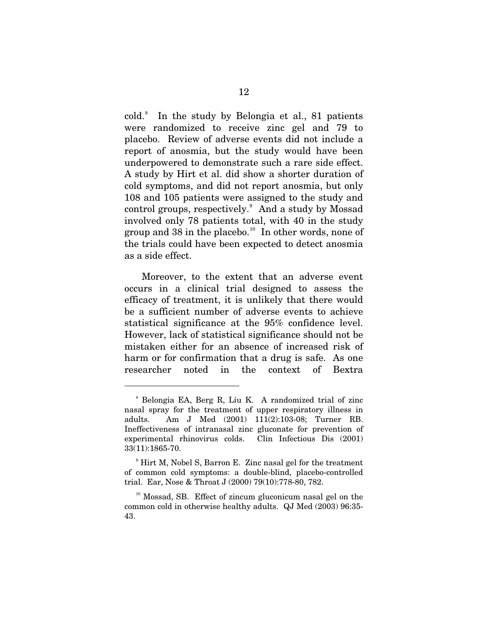cold.[8](#page-21-0) In the study by Belongia et al., 81 patients were randomized to receive zinc gel and 79 to placebo. Review of adverse events did not include a report of anosmia, but the study would have been underpowered to demonstrate such a rare side effect. A study by Hirt et al. did show a shorter duration of cold symptoms, and did not report anosmia, but only 108 and 105 patients were assigned to the study and control groups, respectively.<sup>[9](#page-21-1)</sup> And a study by Mossad involved only 78 patients total, with 40 in the study group and 38 in the placebo.<sup>[10](#page-21-2)</sup> In other words, none of the trials could have been expected to detect anosmia as a side effect.

Moreover, to the extent that an adverse event occurs in a clinical trial designed to assess the efficacy of treatment, it is unlikely that there would be a sufficient number of adverse events to achieve statistical significance at the 95% confidence level. However, lack of statistical significance should not be mistaken either for an absence of increased risk of harm or for confirmation that a drug is safe. As one researcher noted in the context of Bextra

<span id="page-21-0"></span><sup>8</sup> Belongia EA, Berg R, Liu K. A randomized trial of zinc nasal spray for the treatment of upper respiratory illness in adults. Am J Med (2001) 111(2):103-08; Turner RB. Ineffectiveness of intranasal zinc gluconate for prevention of experimental rhinovirus colds. Clin Infectious Dis (2001) 33(11):1865-70.

<span id="page-21-1"></span><sup>9</sup> Hirt M, Nobel S, Barron E. Zinc nasal gel for the treatment of common cold symptoms: a double-blind, placebo-controlled trial. Ear, Nose & Throat J (2000) 79(10):778-80, 782.

<span id="page-21-2"></span><sup>&</sup>lt;sup>10</sup> Mossad, SB. Effect of zincum gluconicum nasal gel on the common cold in otherwise healthy adults. QJ Med (2003) 96:35- 43.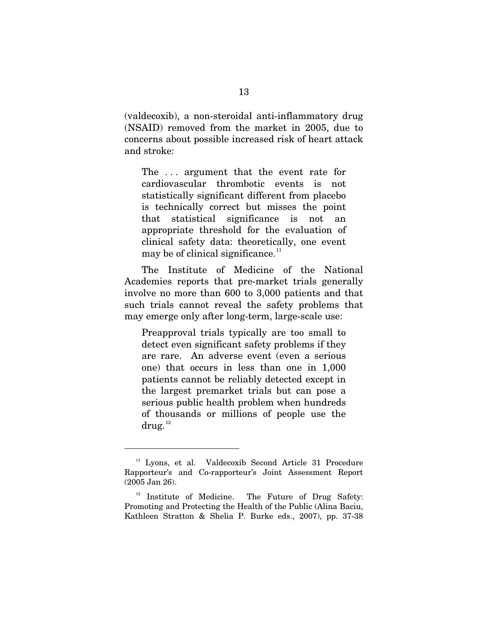(valdecoxib), a non-steroidal anti-inflammatory drug (NSAID) removed from the market in 2005, due to concerns about possible increased risk of heart attack and stroke:

The ... argument that the event rate for cardiovascular thrombotic events is not statistically significant different from placebo is technically correct but misses the point that statistical significance is not an appropriate threshold for the evaluation of clinical safety data: theoretically, one event may be of clinical significance. $11$ 

 The Institute of Medicine of the National Academies reports that pre-market trials generally involve no more than 600 to 3,000 patients and that such trials cannot reveal the safety problems that may emerge only after long-term, large-scale use:

Preapproval trials typically are too small to detect even significant safety problems if they are rare. An adverse event (even a serious one) that occurs in less than one in 1,000 patients cannot be reliably detected except in the largest premarket trials but can pose a serious public health problem when hundreds of thousands or millions of people use the  $\text{drug.}^{12}$  $\text{drug.}^{12}$  $\text{drug.}^{12}$ 

<span id="page-22-0"></span><sup>&</sup>lt;sup>11</sup> Lyons, et al. Valdecoxib Second Article 31 Procedure Rapporteur's and Co-rapporteur's Joint Assessment Report (2005 Jan 26).

<span id="page-22-1"></span> $12$  Institute of Medicine. The Future of Drug Safety: Promoting and Protecting the Health of the Public (Alina Baciu, Kathleen Stratton & Shelia P. Burke eds., 2007), pp. 37-38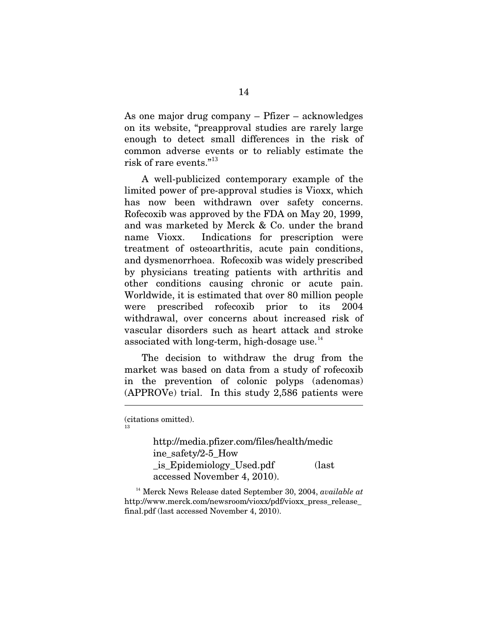As one major drug company – Pfizer – acknowledges on its website, "preapproval studies are rarely large enough to detect small differences in the risk of common adverse events or to reliably estimate the risk of rare events."[13](#page-23-0)

 A well-publicized contemporary example of the limited power of pre-approval studies is Vioxx, which has now been withdrawn over safety concerns. Rofecoxib was approved by the FDA on May 20, 1999, and was marketed by Merck & Co. under the brand name Vioxx. Indications for prescription were treatment of osteoarthritis, acute pain conditions, and dysmenorrhoea. Rofecoxib was widely prescribed by physicians treating patients with arthritis and other conditions causing chronic or acute pain. Worldwide, it is estimated that over 80 million people were prescribed rofecoxib prior to its 2004 withdrawal, over concerns about increased risk of vascular disorders such as heart attack and stroke associated with long-term, high-dosage use. $14$ 

 The decision to withdraw the drug from the market was based on data from a study of rofecoxib in the prevention of colonic polyps (adenomas) (APPROVe) trial. In this study 2,586 patients were

<span id="page-23-0"></span>(citations omitted). 13

 $\overline{a}$ 

http://media.pfizer.com/files/health/medic ine\_safety/2-5\_How \_is\_Epidemiology\_Used.pdf (last accessed November 4, 2010).

<span id="page-23-1"></span><sup>14</sup> Merck News Release dated September 30, 2004, *available at* http://www.merck.com/newsroom/vioxx/pdf/vioxx\_press\_release\_ final.pdf (last accessed November 4, 2010).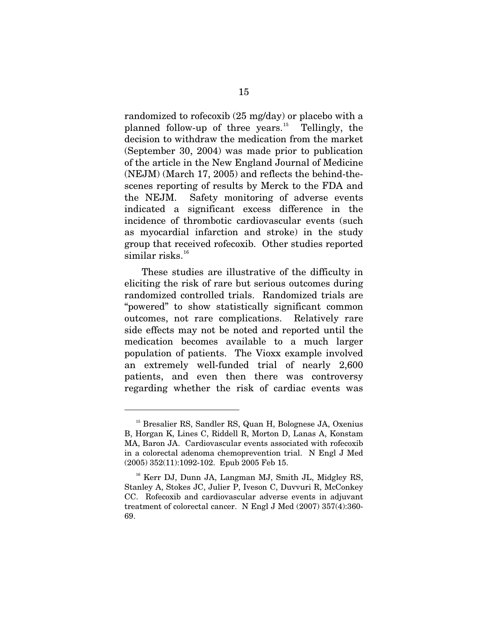randomized to rofecoxib (25 mg/day) or placebo with a planned follow-up of three years.<sup>[15](#page-24-0)</sup> Tellingly, the decision to withdraw the medication from the market (September 30, 2004) was made prior to publication of the article in the New England Journal of Medicine (NEJM) (March 17, 2005) and reflects the behind-thescenes reporting of results by Merck to the FDA and the NEJM. Safety monitoring of adverse events indicated a significant excess difference in the incidence of thrombotic cardiovascular events (such as myocardial infarction and stroke) in the study group that received rofecoxib. Other studies reported similar risks. $16$ 

 These studies are illustrative of the difficulty in eliciting the risk of rare but serious outcomes during randomized controlled trials. Randomized trials are "powered" to show statistically significant common outcomes, not rare complications. Relatively rare side effects may not be noted and reported until the medication becomes available to a much larger population of patients. The Vioxx example involved an extremely well-funded trial of nearly 2,600 patients, and even then there was controversy regarding whether the risk of cardiac events was

<span id="page-24-0"></span><sup>&</sup>lt;sup>15</sup> Bresalier RS, Sandler RS, Quan H, Bolognese JA, Oxenius B, Horgan K, Lines C, Riddell R, Morton D, Lanas A, Konstam MA, Baron JA. Cardiovascular events associated with rofecoxib in a colorectal adenoma chemoprevention trial. N Engl J Med (2005) 352(11):1092-102. Epub 2005 Feb 15.

<span id="page-24-1"></span><sup>&</sup>lt;sup>16</sup> Kerr DJ, Dunn JA, Langman MJ, Smith JL, Midgley RS, Stanley A, Stokes JC, Julier P, Iveson C, Duvvuri R, McConkey CC. Rofecoxib and cardiovascular adverse events in adjuvant treatment of colorectal cancer. N Engl J Med (2007) 357(4):360- 69.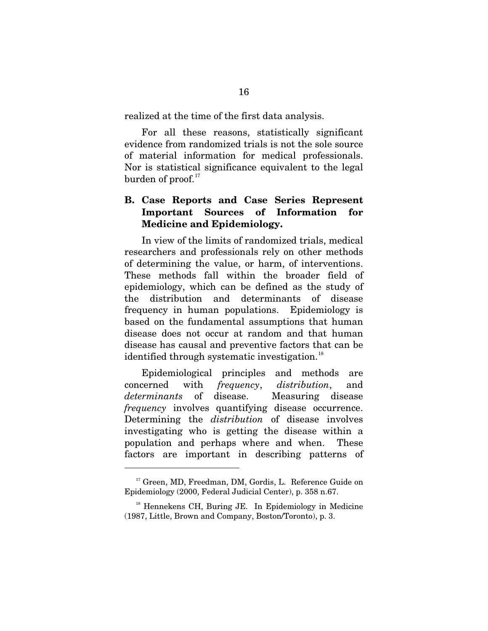realized at the time of the first data analysis.

 For all these reasons, statistically significant evidence from randomized trials is not the sole source of material information for medical professionals. Nor is statistical significance equivalent to the legal burden of proof. $^{\scriptscriptstyle 17}$  $^{\scriptscriptstyle 17}$  $^{\scriptscriptstyle 17}$ 

## **B. Case Reports and Case Series Represent Important Sources of Information for Medicine and Epidemiology.**

 In view of the limits of randomized trials, medical researchers and professionals rely on other methods of determining the value, or harm, of interventions. These methods fall within the broader field of epidemiology, which can be defined as the study of the distribution and determinants of disease frequency in human populations. Epidemiology is based on the fundamental assumptions that human disease does not occur at random and that human disease has causal and preventive factors that can be identified through systematic investigation.<sup>[18](#page-25-1)</sup>

 Epidemiological principles and methods are concerned with *frequency*, *distribution*, and *determinants* of disease. Measuring disease *frequency* involves quantifying disease occurrence. Determining the *distribution* of disease involves investigating who is getting the disease within a population and perhaps where and when. These factors are important in describing patterns of

<span id="page-25-0"></span><sup>&</sup>lt;sup>17</sup> Green, MD, Freedman, DM, Gordis, L. Reference Guide on Epidemiology (2000, Federal Judicial Center), p. 358 n.67.

<span id="page-25-1"></span> $18$  Hennekens CH, Buring JE. In Epidemiology in Medicine (1987, Little, Brown and Company, Boston/Toronto), p. 3.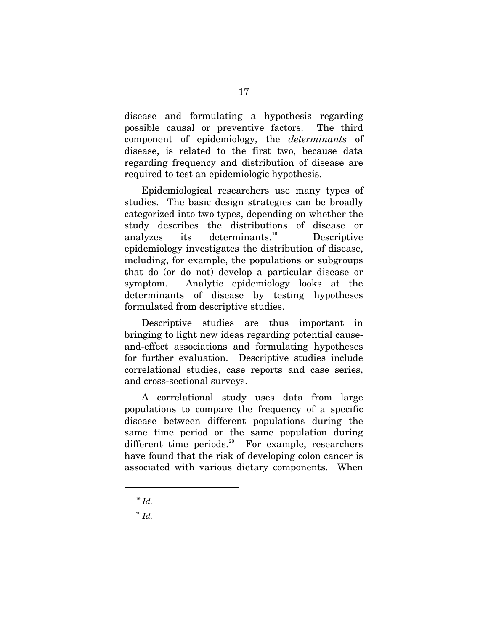disease and formulating a hypothesis regarding possible causal or preventive factors. The third component of epidemiology, the *determinants* of disease, is related to the first two, because data regarding frequency and distribution of disease are required to test an epidemiologic hypothesis.

 Epidemiological researchers use many types of studies. The basic design strategies can be broadly categorized into two types, depending on whether the study describes the distributions of disease or analyzes its determinants.<sup>[19](#page-26-0)</sup> Descriptive epidemiology investigates the distribution of disease, including, for example, the populations or subgroups that do (or do not) develop a particular disease or symptom. Analytic epidemiology looks at the determinants of disease by testing hypotheses formulated from descriptive studies.

 Descriptive studies are thus important in bringing to light new ideas regarding potential causeand-effect associations and formulating hypotheses for further evaluation. Descriptive studies include correlational studies, case reports and case series, and cross-sectional surveys.

 A correlational study uses data from large populations to compare the frequency of a specific disease between different populations during the same time period or the same population during different time periods.<sup>[20](#page-26-1)</sup> For example, researchers have found that the risk of developing colon cancer is associated with various dietary components. When

 $19$  *Id.* 

<span id="page-26-1"></span><span id="page-26-0"></span> $^{20}$  *Id.*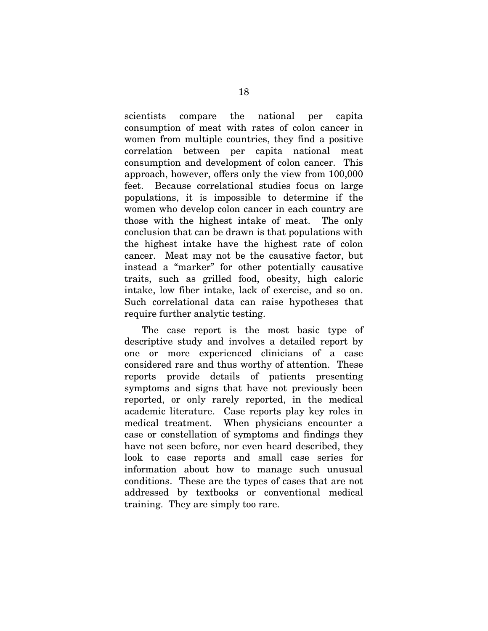scientists compare the national per capita consumption of meat with rates of colon cancer in women from multiple countries, they find a positive correlation between per capita national meat consumption and development of colon cancer. This approach, however, offers only the view from 100,000 feet. Because correlational studies focus on large populations, it is impossible to determine if the women who develop colon cancer in each country are those with the highest intake of meat. The only conclusion that can be drawn is that populations with the highest intake have the highest rate of colon cancer. Meat may not be the causative factor, but instead a "marker" for other potentially causative traits, such as grilled food, obesity, high caloric intake, low fiber intake, lack of exercise, and so on. Such correlational data can raise hypotheses that require further analytic testing.

 The case report is the most basic type of descriptive study and involves a detailed report by one or more experienced clinicians of a case considered rare and thus worthy of attention. These reports provide details of patients presenting symptoms and signs that have not previously been reported, or only rarely reported, in the medical academic literature. Case reports play key roles in medical treatment. When physicians encounter a case or constellation of symptoms and findings they have not seen before, nor even heard described, they look to case reports and small case series for information about how to manage such unusual conditions. These are the types of cases that are not addressed by textbooks or conventional medical training. They are simply too rare.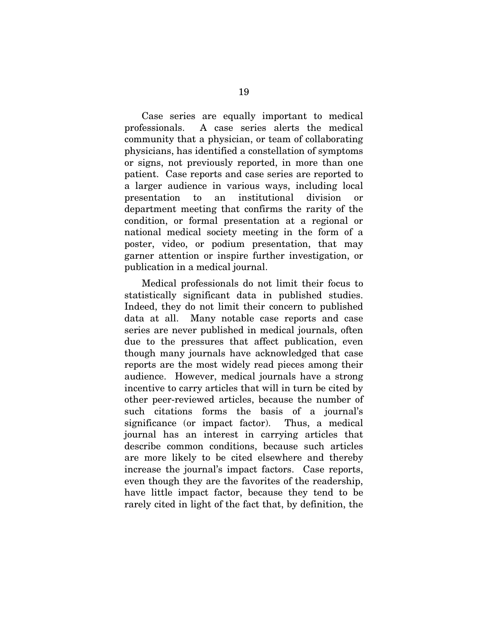Case series are equally important to medical professionals. A case series alerts the medical community that a physician, or team of collaborating physicians, has identified a constellation of symptoms or signs, not previously reported, in more than one patient. Case reports and case series are reported to a larger audience in various ways, including local presentation to an institutional division department meeting that confirms the rarity of the condition, or formal presentation at a regional or national medical society meeting in the form of a poster, video, or podium presentation, that may garner attention or inspire further investigation, or publication in a medical journal.

 Medical professionals do not limit their focus to statistically significant data in published studies. Indeed, they do not limit their concern to published data at all. Many notable case reports and case series are never published in medical journals, often due to the pressures that affect publication, even though many journals have acknowledged that case reports are the most widely read pieces among their audience. However, medical journals have a strong incentive to carry articles that will in turn be cited by other peer-reviewed articles, because the number of such citations forms the basis of a journal's significance (or impact factor). Thus, a medical journal has an interest in carrying articles that describe common conditions, because such articles are more likely to be cited elsewhere and thereby increase the journal's impact factors. Case reports, even though they are the favorites of the readership, have little impact factor, because they tend to be rarely cited in light of the fact that, by definition, the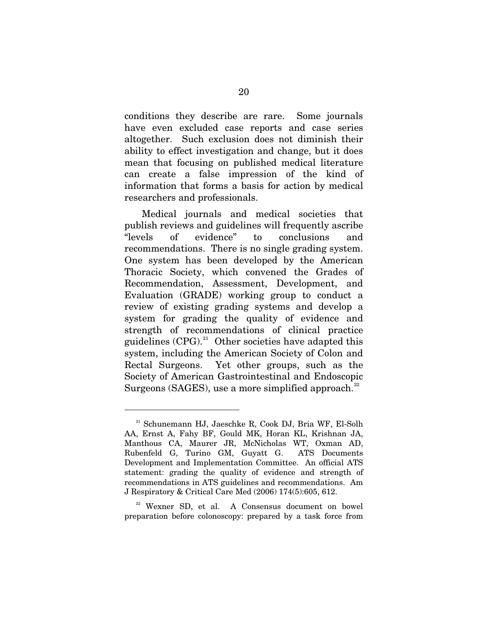conditions they describe are rare. Some journals have even excluded case reports and case series altogether. Such exclusion does not diminish their ability to effect investigation and change, but it does mean that focusing on published medical literature can create a false impression of the kind of information that forms a basis for action by medical researchers and professionals.

 Medical journals and medical societies that publish reviews and guidelines will frequently ascribe "levels of evidence" to conclusions and recommendations. There is no single grading system. One system has been developed by the American Thoracic Society, which convened the Grades of Recommendation, Assessment, Development, and Evaluation (GRADE) working group to conduct a review of existing grading systems and develop a system for grading the quality of evidence and strength of recommendations of clinical practice guidelines  $(CPG)^{21}$  $(CPG)^{21}$  $(CPG)^{21}$  Other societies have adapted this system, including the American Society of Colon and Rectal Surgeons. Yet other groups, such as the Society of American Gastrointestinal and Endoscopic Surgeons (SAGES), use a more simplified approach. $22$ 

 $\overline{a}$ 

<span id="page-29-1"></span><sup>22</sup> Wexner SD, et al. A Consensus document on bowel preparation before colonoscopy: prepared by a task force from

<span id="page-29-0"></span><sup>21</sup> Schunemann HJ, Jaeschke R, Cook DJ, Bria WF, El-Solh AA, Ernst A, Fahy BF, Gould MK, Horan KL, Krishnan JA, Manthous CA, Maurer JR, McNicholas WT, Oxman AD, Rubenfeld G, Turino GM, Guyatt G. ATS Documents Development and Implementation Committee. An official ATS statement: grading the quality of evidence and strength of recommendations in ATS guidelines and recommendations. Am J Respiratory & Critical Care Med (2006) 174(5):605, 612.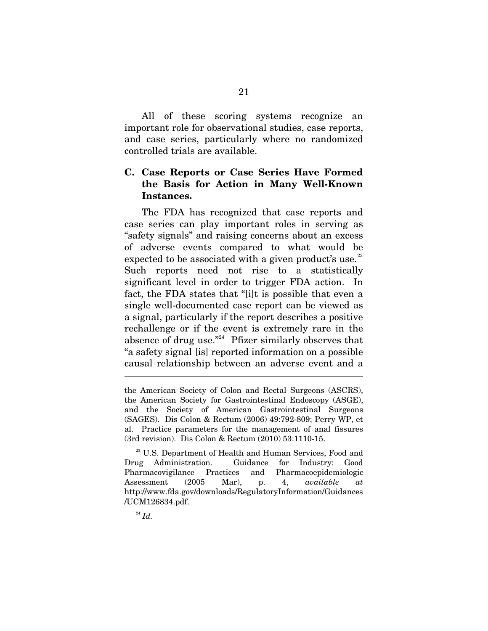All of these scoring systems recognize an important role for observational studies, case reports, and case series, particularly where no randomized controlled trials are available.

## **C. Case Reports or Case Series Have Formed the Basis for Action in Many Well-Known Instances.**

 The FDA has recognized that case reports and case series can play important roles in serving as "safety signals" and raising concerns about an excess of adverse events compared to what would be expected to be associated with a given product's use. $^{23}$  $^{23}$  $^{23}$ Such reports need not rise to a statistically significant level in order to trigger FDA action. In fact, the FDA states that "[i]t is possible that even a single well-documented case report can be viewed as a signal, particularly if the report describes a positive rechallenge or if the event is extremely rare in the absence of drug use."<sup>[24](#page-30-1)</sup> Pfizer similarly observes that "a safety signal [is] reported information on a possible causal relationship between an adverse event and a

<span id="page-30-1"></span> $^{24}$  *Id.* 

the American Society of Colon and Rectal Surgeons (ASCRS), the American Society for Gastrointestinal Endoscopy (ASGE), and the Society of American Gastrointestinal Surgeons (SAGES). Dis Colon & Rectum (2006) 49:792-809; Perry WP, et al. Practice parameters for the management of anal fissures (3rd revision). Dis Colon & Rectum (2010) 53:1110-15.

<span id="page-30-0"></span><sup>&</sup>lt;sup>23</sup> U.S. Department of Health and Human Services, Food and Drug Administration. Guidance for Industry: Good Pharmacovigilance Practices and Pharmacoepidemiologic Assessment (2005 Mar), p. 4, *available at* http://www.fda.gov/downloads/RegulatoryInformation/Guidances /UCM126834.pdf.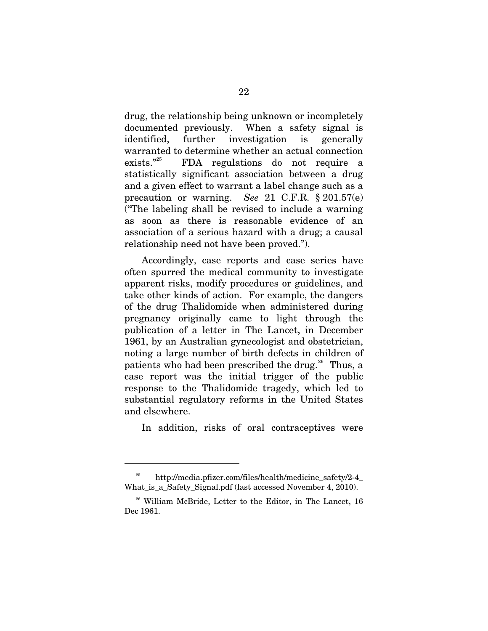drug, the relationship being unknown or incompletely documented previously. When a safety signal is identified, further investigation is generally warranted to determine whether an actual connection exists."[25](#page-31-0) FDA regulations do not require a statistically significant association between a drug and a given effect to warrant a label change such as a precaution or warning. *See* 21 C.F.R. § 201.57(e) ("The labeling shall be revised to include a warning as soon as there is reasonable evidence of an association of a serious hazard with a drug; a causal relationship need not have been proved.").

 Accordingly, case reports and case series have often spurred the medical community to investigate apparent risks, modify procedures or guidelines, and take other kinds of action. For example, the dangers of the drug Thalidomide when administered during pregnancy originally came to light through the publication of a letter in The Lancet, in December 1961, by an Australian gynecologist and obstetrician, noting a large number of birth defects in children of patients who had been prescribed the drug.<sup>[26](#page-31-1)</sup> Thus, a case report was the initial trigger of the public response to the Thalidomide tragedy, which led to substantial regulatory reforms in the United States and elsewhere.

In addition, risks of oral contraceptives were

<span id="page-31-0"></span><sup>25</sup> http://media.pfizer.com/files/health/medicine\_safety/2-4\_ What is a Safety Signal.pdf (last accessed November 4, 2010).

<span id="page-31-1"></span><sup>&</sup>lt;sup>26</sup> William McBride, Letter to the Editor, in The Lancet, 16 Dec 1961.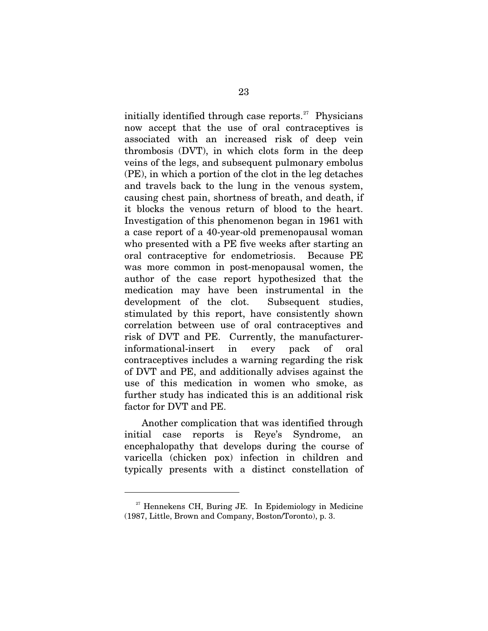initially identified through case reports. $^{27}$  $^{27}$  $^{27}$  Physicians now accept that the use of oral contraceptives is associated with an increased risk of deep vein thrombosis (DVT), in which clots form in the deep veins of the legs, and subsequent pulmonary embolus (PE), in which a portion of the clot in the leg detaches and travels back to the lung in the venous system, causing chest pain, shortness of breath, and death, if it blocks the venous return of blood to the heart. Investigation of this phenomenon began in 1961 with a case report of a 40-year-old premenopausal woman who presented with a PE five weeks after starting an oral contraceptive for endometriosis. Because PE was more common in post-menopausal women, the author of the case report hypothesized that the medication may have been instrumental in the development of the clot. Subsequent studies, stimulated by this report, have consistently shown correlation between use of oral contraceptives and risk of DVT and PE. Currently, the manufacturerinformational-insert in every pack of oral contraceptives includes a warning regarding the risk of DVT and PE, and additionally advises against the use of this medication in women who smoke, as further study has indicated this is an additional risk factor for DVT and PE.

 Another complication that was identified through initial case reports is Reye's Syndrome, an encephalopathy that develops during the course of varicella (chicken pox) infection in children and typically presents with a distinct constellation of

<span id="page-32-0"></span> $27$  Hennekens CH, Buring JE. In Epidemiology in Medicine (1987, Little, Brown and Company, Boston/Toronto), p. 3.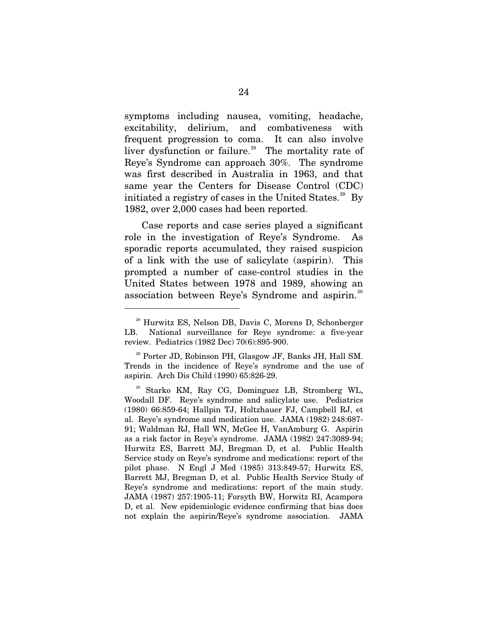symptoms including nausea, vomiting, headache, excitability, delirium, and combativeness with frequent progression to coma. It can also involve liver dysfunction or failure.<sup>[28](#page-33-0)</sup> The mortality rate of Reye's Syndrome can approach 30%. The syndrome was first described in Australia in 1963, and that same year the Centers for Disease Control (CDC) initiated a registry of cases in the United States. $29$  By 1982, over 2,000 cases had been reported.

 Case reports and case series played a significant role in the investigation of Reye's Syndrome. As sporadic reports accumulated, they raised suspicion of a link with the use of salicylate (aspirin). This prompted a number of case-control studies in the United States between 1978 and 1989, showing an association between Reye's Syndrome and aspirin.<sup>[30](#page-33-2)</sup>

<span id="page-33-0"></span><sup>&</sup>lt;sup>28</sup> Hurwitz ES, Nelson DB, Davis C, Morens D, Schonberger LB. National surveillance for Reye syndrome: a five-year review. Pediatrics (1982 Dec) 70(6):895-900.

<span id="page-33-1"></span><sup>29</sup> Porter JD, Robinson PH, Glasgow JF, Banks JH, Hall SM. Trends in the incidence of Reye's syndrome and the use of aspirin. Arch Dis Child (1990) 65:826-29.

<span id="page-33-2"></span><sup>30</sup> Starko KM, Ray CG, Dominguez LB, Stromberg WL, Woodall DF. Reye's syndrome and salicylate use. Pediatrics (1980) 66:859-64; Hallpin TJ, Holtzhauer FJ, Campbell RJ, et al. Reye's syndrome and medication use. JAMA (1982) 248:687- 91; Waldman RJ, Hall WN, McGee H, VanAmburg G. Aspirin as a risk factor in Reye's syndrome. JAMA (1982) 247:3089-94; Hurwitz ES, Barrett MJ, Bregman D, et al. Public Health Service study on Reye's syndrome and medications: report of the pilot phase. N Engl J Med (1985) 313:849-57; Hurwitz ES, Barrett MJ, Bregman D, et al. Public Health Service Study of Reye's syndrome and medications: report of the main study. JAMA (1987) 257:1905-11; Forsyth BW, Horwitz RI, Acampora D, et al. New epidemiologic evidence confirming that bias does not explain the aspirin/Reye's syndrome association. JAMA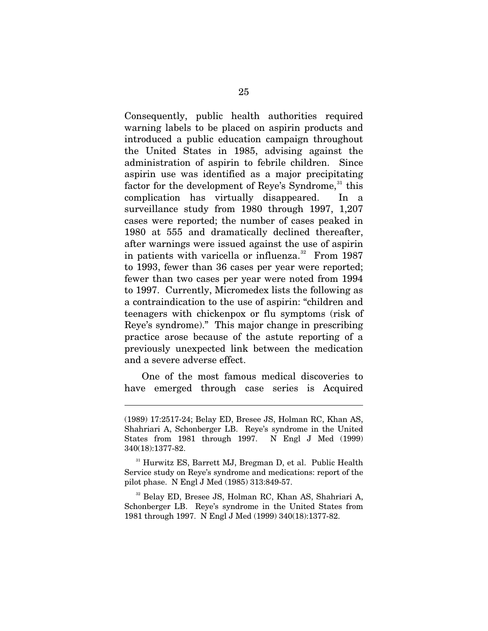Consequently, public health authorities required warning labels to be placed on aspirin products and introduced a public education campaign throughout the United States in 1985, advising against the administration of aspirin to febrile children. Since aspirin use was identified as a major precipitating factor for the development of Reye's Syndrome,<sup>[31](#page-34-0)</sup> this complication has virtually disappeared. In a surveillance study from 1980 through 1997, 1,207 cases were reported; the number of cases peaked in 1980 at 555 and dramatically declined thereafter, after warnings were issued against the use of aspirin in patients with varicella or influenza. $32$  From 1987 to 1993, fewer than 36 cases per year were reported; fewer than two cases per year were noted from 1994 to 1997. Currently, Micromedex lists the following as a contraindication to the use of aspirin: "children and teenagers with chickenpox or flu symptoms (risk of Reye's syndrome)." This major change in prescribing practice arose because of the astute reporting of a previously unexpected link between the medication and a severe adverse effect.

 One of the most famous medical discoveries to have emerged through case series is Acquired

 $\overline{a}$ 

<span id="page-34-1"></span>32 Belay ED, Bresee JS, Holman RC, Khan AS, Shahriari A, Schonberger LB. Reye's syndrome in the United States from 1981 through 1997. N Engl J Med (1999) 340(18):1377-82.

<sup>(1989) 17:2517-24;</sup> Belay ED, Bresee JS, Holman RC, Khan AS, Shahriari A, Schonberger LB. Reye's syndrome in the United States from 1981 through 1997. N Engl J Med (1999) 340(18):1377-82.

<span id="page-34-0"></span><sup>&</sup>lt;sup>31</sup> Hurwitz ES, Barrett MJ, Bregman D, et al. Public Health Service study on Reye's syndrome and medications: report of the pilot phase. N Engl J Med (1985) 313:849-57.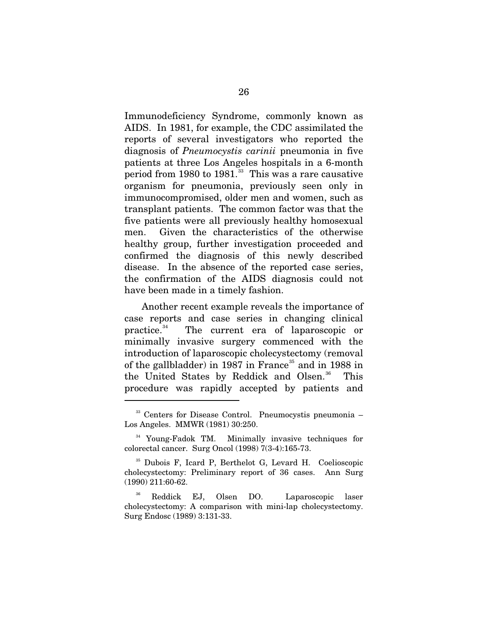Immunodeficiency Syndrome, commonly known as AIDS. In 1981, for example, the CDC assimilated the reports of several investigators who reported the diagnosis of *Pneumocystis carinii* pneumonia in five patients at three Los Angeles hospitals in a 6-month period from 1980 to  $1981$ <sup>[33](#page-35-0)</sup> This was a rare causative organism for pneumonia, previously seen only in immunocompromised, older men and women, such as transplant patients. The common factor was that the five patients were all previously healthy homosexual men. Given the characteristics of the otherwise healthy group, further investigation proceeded and confirmed the diagnosis of this newly described disease. In the absence of the reported case series, the confirmation of the AIDS diagnosis could not have been made in a timely fashion.

 Another recent example reveals the importance of case reports and case series in changing clinical practice.[34](#page-35-1) The current era of laparoscopic or minimally invasive surgery commenced with the introduction of laparoscopic cholecystectomy (removal of the gallbladder) in 1987 in France<sup>[35](#page-35-2)</sup> and in 1988 in the United States by Reddick and Olsen.<sup>[36](#page-35-3)</sup> This procedure was rapidly accepted by patients and

<span id="page-35-0"></span><sup>&</sup>lt;sup>33</sup> Centers for Disease Control. Pneumocystis pneumonia – Los Angeles. MMWR (1981) 30:250.

<span id="page-35-1"></span><sup>34</sup> Young-Fadok TM. Minimally invasive techniques for colorectal cancer. Surg Oncol (1998) 7(3-4):165-73.

<span id="page-35-2"></span><sup>35</sup> Dubois F, Icard P, Berthelot G, Levard H. Coelioscopic cholecystectomy: Preliminary report of 36 cases. Ann Surg (1990) 211:60-62.

<span id="page-35-3"></span><sup>36</sup> Reddick EJ, Olsen DO. Laparoscopic laser cholecystectomy: A comparison with mini-lap cholecystectomy. Surg Endosc (1989) 3:131-33.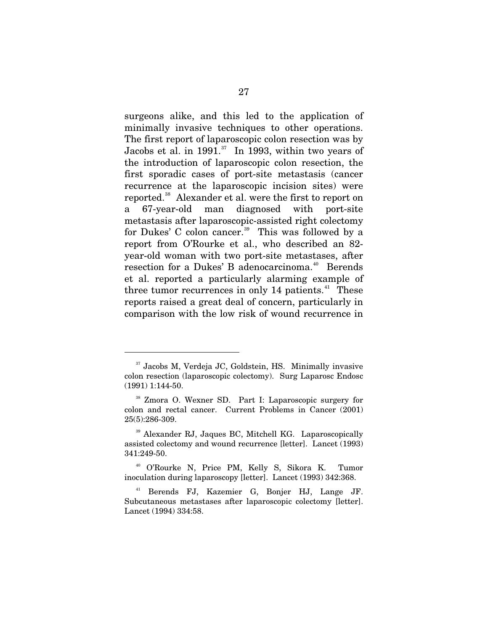surgeons alike, and this led to the application of minimally invasive techniques to other operations. The first report of laparoscopic colon resection was by Jacobs et al. in 1991. $37$  In 1993, within two years of the introduction of laparoscopic colon resection, the first sporadic cases of port-site metastasis (cancer recurrence at the laparoscopic incision sites) were reported.[38](#page-36-1) Alexander et al. were the first to report on a 67-year-old man diagnosed with port-site metastasis after laparoscopic-assisted right colectomy for Dukes' C colon cancer.<sup>[39](#page-36-2)</sup> This was followed by a report from O'Rourke et al., who described an 82 year-old woman with two port-site metastases, after resection for a Dukes' B adenocarcinoma.<sup>[40](#page-36-3)</sup> Berends et al. reported a particularly alarming example of three tumor recurrences in only  $14$  patients.<sup>[41](#page-36-4)</sup> These reports raised a great deal of concern, particularly in comparison with the low risk of wound recurrence in

<span id="page-36-0"></span><sup>&</sup>lt;sup>37</sup> Jacobs M, Verdeja JC, Goldstein, HS. Minimally invasive colon resection (laparoscopic colectomy). Surg Laparosc Endosc (1991) 1:144-50.

<span id="page-36-1"></span><sup>38</sup> Zmora O. Wexner SD. Part I: Laparoscopic surgery for colon and rectal cancer. Current Problems in Cancer (2001) 25(5):286-309.

<span id="page-36-2"></span><sup>39</sup> Alexander RJ, Jaques BC, Mitchell KG. Laparoscopically assisted colectomy and wound recurrence [letter]. Lancet (1993) 341:249-50.

<span id="page-36-3"></span><sup>40</sup> O'Rourke N, Price PM, Kelly S, Sikora K. Tumor inoculation during laparoscopy [letter]. Lancet (1993) 342:368.

<span id="page-36-4"></span><sup>41</sup> Berends FJ, Kazemier G, Bonjer HJ, Lange JF. Subcutaneous metastases after laparoscopic colectomy [letter]. Lancet (1994) 334:58.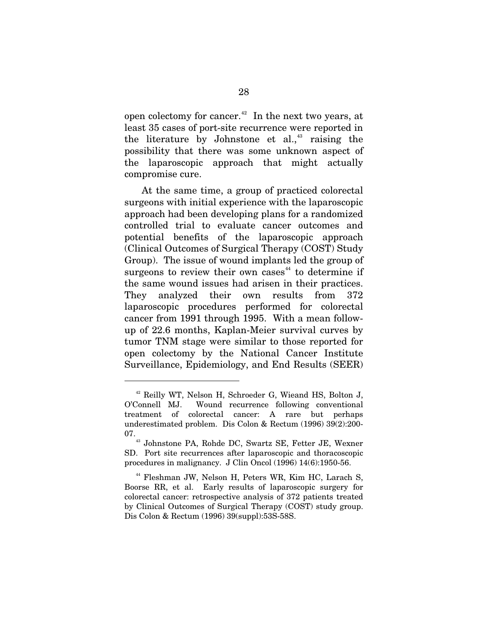open colectomy for cancer.<sup>[42](#page-37-0)</sup> In the next two years, at least 35 cases of port-site recurrence were reported in the literature by Johnstone et al., $43$  raising the possibility that there was some unknown aspect of the laparoscopic approach that might actually compromise cure.

 At the same time, a group of practiced colorectal surgeons with initial experience with the laparoscopic approach had been developing plans for a randomized controlled trial to evaluate cancer outcomes and potential benefits of the laparoscopic approach (Clinical Outcomes of Surgical Therapy (COST) Study Group). The issue of wound implants led the group of surgeons to review their own cases<sup> $44$ </sup> to determine if the same wound issues had arisen in their practices. They analyzed their own results from 372 laparoscopic procedures performed for colorectal cancer from 1991 through 1995. With a mean followup of 22.6 months, Kaplan-Meier survival curves by tumor TNM stage were similar to those reported for open colectomy by the National Cancer Institute Surveillance, Epidemiology, and End Results (SEER)

<span id="page-37-0"></span><sup>42</sup> Reilly WT, Nelson H, Schroeder G, Wieand HS, Bolton J, O'Connell MJ. Wound recurrence following conventional treatment of colorectal cancer: A rare but perhaps underestimated problem. Dis Colon & Rectum (1996) 39(2):200- 07. 43 Johnstone PA, Rohde DC, Swartz SE, Fetter JE, Wexner

<span id="page-37-1"></span>SD. Port site recurrences after laparoscopic and thoracoscopic procedures in malignancy. J Clin Oncol (1996) 14(6):1950-56.

<span id="page-37-2"></span><sup>44</sup> Fleshman JW, Nelson H, Peters WR, Kim HC, Larach S, Boorse RR, et al. Early results of laparoscopic surgery for colorectal cancer: retrospective analysis of 372 patients treated by Clinical Outcomes of Surgical Therapy (COST) study group. Dis Colon & Rectum (1996) 39(suppl):53S-58S.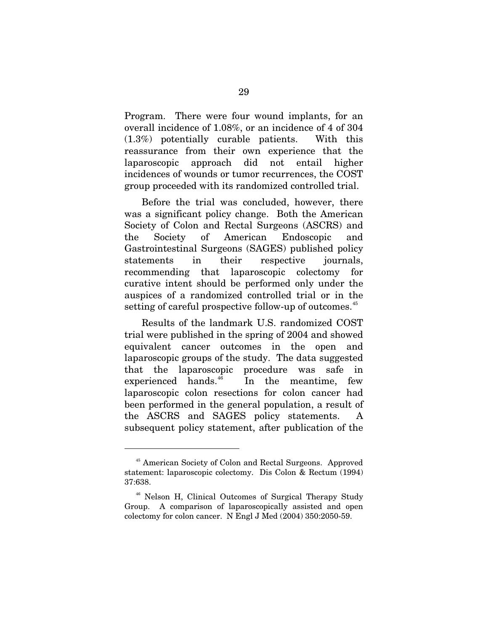Program. There were four wound implants, for an overall incidence of 1.08%, or an incidence of 4 of 304 (1.3%) potentially curable patients. With this reassurance from their own experience that the laparoscopic approach did not entail higher incidences of wounds or tumor recurrences, the COST group proceeded with its randomized controlled trial.

 Before the trial was concluded, however, there was a significant policy change. Both the American Society of Colon and Rectal Surgeons (ASCRS) and the Society of American Endoscopic and Gastrointestinal Surgeons (SAGES) published policy statements in their respective journals, recommending that laparoscopic colectomy for curative intent should be performed only under the auspices of a randomized controlled trial or in the setting of careful prospective follow-up of outcomes.<sup>[45](#page-38-0)</sup>

 Results of the landmark U.S. randomized COST trial were published in the spring of 2004 and showed equivalent cancer outcomes in the open and laparoscopic groups of the study. The data suggested that the laparoscopic procedure was safe in experienced hands. $^{46}$  $^{46}$  $^{46}$  In the meantime, few laparoscopic colon resections for colon cancer had been performed in the general population, a result of the ASCRS and SAGES policy statements. A subsequent policy statement, after publication of the

<span id="page-38-0"></span><sup>45</sup> American Society of Colon and Rectal Surgeons. Approved statement: laparoscopic colectomy. Dis Colon & Rectum (1994) 37:638.

<span id="page-38-1"></span><sup>46</sup> Nelson H, Clinical Outcomes of Surgical Therapy Study Group. A comparison of laparoscopically assisted and open colectomy for colon cancer. N Engl J Med (2004) 350:2050-59.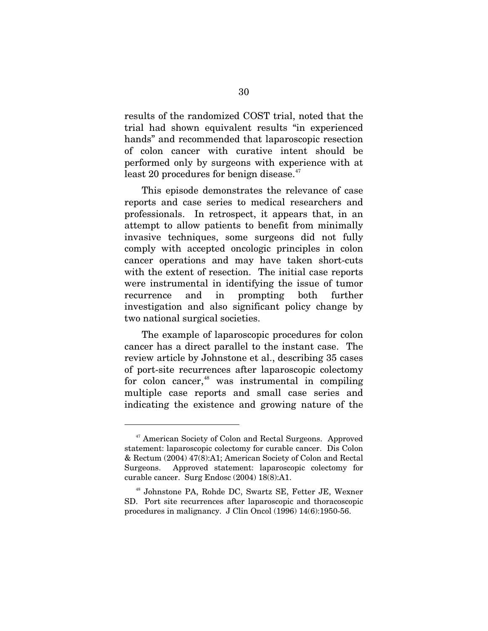results of the randomized COST trial, noted that the trial had shown equivalent results "in experienced hands" and recommended that laparoscopic resection of colon cancer with curative intent should be performed only by surgeons with experience with at least 20 procedures for benign disease. $47$ 

 This episode demonstrates the relevance of case reports and case series to medical researchers and professionals. In retrospect, it appears that, in an attempt to allow patients to benefit from minimally invasive techniques, some surgeons did not fully comply with accepted oncologic principles in colon cancer operations and may have taken short-cuts with the extent of resection. The initial case reports were instrumental in identifying the issue of tumor recurrence and in prompting both further investigation and also significant policy change by two national surgical societies.

 The example of laparoscopic procedures for colon cancer has a direct parallel to the instant case. The review article by Johnstone et al., describing 35 cases of port-site recurrences after laparoscopic colectomy for colon cancer, $48$  was instrumental in compiling multiple case reports and small case series and indicating the existence and growing nature of the

<span id="page-39-0"></span><sup>&</sup>lt;sup>47</sup> American Society of Colon and Rectal Surgeons. Approved statement: laparoscopic colectomy for curable cancer. Dis Colon & Rectum (2004) 47(8):A1; American Society of Colon and Rectal Surgeons. Approved statement: laparoscopic colectomy for curable cancer. Surg Endosc (2004) 18(8):A1.

<span id="page-39-1"></span><sup>48</sup> Johnstone PA, Rohde DC, Swartz SE, Fetter JE, Wexner SD. Port site recurrences after laparoscopic and thoracoscopic procedures in malignancy. J Clin Oncol (1996) 14(6):1950-56.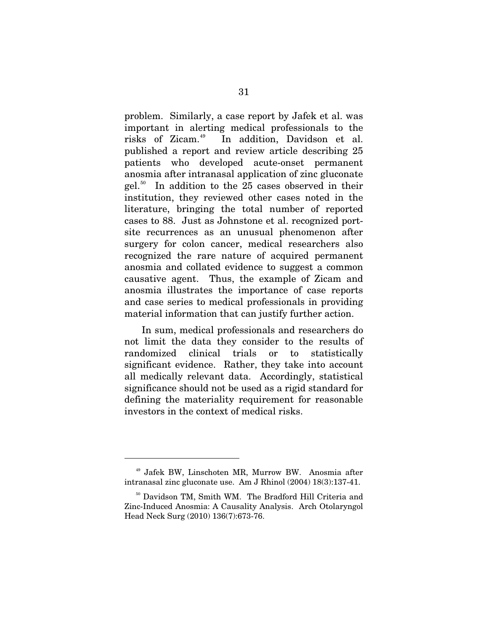problem. Similarly, a case report by Jafek et al. was important in alerting medical professionals to the risks of Zicam.<sup>[49](#page-40-0)</sup> In addition, Davidson et al. published a report and review article describing 25 patients who developed acute-onset permanent anosmia after intranasal application of zinc gluconate gel.[50](#page-40-1) In addition to the 25 cases observed in their institution, they reviewed other cases noted in the literature, bringing the total number of reported cases to 88. Just as Johnstone et al. recognized portsite recurrences as an unusual phenomenon after surgery for colon cancer, medical researchers also recognized the rare nature of acquired permanent anosmia and collated evidence to suggest a common causative agent. Thus, the example of Zicam and anosmia illustrates the importance of case reports and case series to medical professionals in providing material information that can justify further action.

 In sum, medical professionals and researchers do not limit the data they consider to the results of randomized clinical trials or to statistically significant evidence. Rather, they take into account all medically relevant data. Accordingly, statistical significance should not be used as a rigid standard for defining the materiality requirement for reasonable investors in the context of medical risks.

<span id="page-40-0"></span><sup>49</sup> Jafek BW, Linschoten MR, Murrow BW. Anosmia after intranasal zinc gluconate use. Am J Rhinol (2004) 18(3):137-41.

<span id="page-40-1"></span><sup>&</sup>lt;sup>50</sup> Davidson TM, Smith WM. The Bradford Hill Criteria and Zinc-Induced Anosmia: A Causality Analysis. Arch Otolaryngol Head Neck Surg (2010) 136(7):673-76.